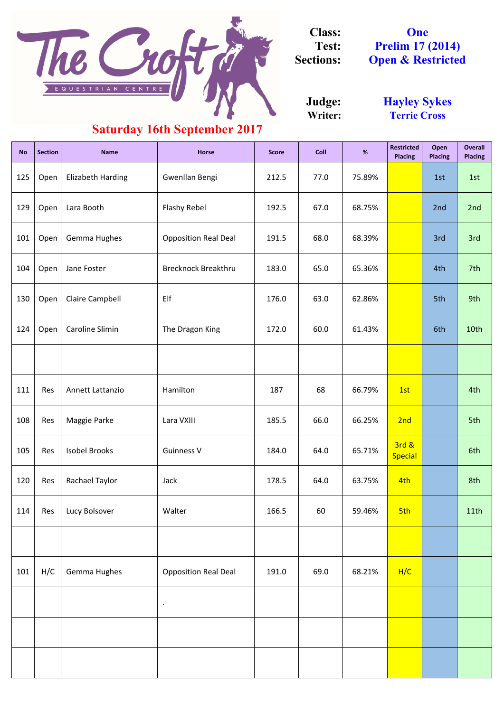| <b>No</b> | <b>Section</b> | <b>Name</b>              | <b>Horse</b>                | <b>Score</b> | <b>Coll</b> | %      | <b>Restricted</b><br><b>Placing</b> | Open<br><b>Placing</b> | <b>Overall</b><br><b>Placing</b> |
|-----------|----------------|--------------------------|-----------------------------|--------------|-------------|--------|-------------------------------------|------------------------|----------------------------------|
| 125       | Open           | <b>Elizabeth Harding</b> | Gwenllan Bengi              | 212.5        | 77.0        | 75.89% |                                     | 1st                    | 1st                              |
| 129       | Open           | Lara Booth               | <b>Flashy Rebel</b>         | 192.5        | 67.0        | 68.75% |                                     | 2nd                    | 2nd                              |
| 101       | Open           | Gemma Hughes             | <b>Opposition Real Deal</b> | 191.5        | 68.0        | 68.39% |                                     | 3rd                    | 3rd                              |
| 104       | Open           | Jane Foster              | <b>Brecknock Breakthru</b>  | 183.0        | 65.0        | 65.36% |                                     | 4th                    | 7th                              |
| 130       | Open           | <b>Claire Campbell</b>   | Elf                         | 176.0        | 63.0        | 62.86% |                                     | 5th                    | 9th                              |
| 124       | Open           | Caroline Slimin          | The Dragon King             | 172.0        | 60.0        | 61.43% |                                     | 6th                    | 10th                             |
|           |                |                          |                             |              |             |        |                                     |                        |                                  |
| 111       | Res            | Annett Lattanzio         | Hamilton                    | 187          | 68          | 66.79% | 1st                                 |                        | 4th                              |
| 108       | Res            | Maggie Parke             | Lara VXIII                  | 185.5        | 66.0        | 66.25% | 2nd                                 |                        | 5th                              |
| 105       | Res            | <b>Isobel Brooks</b>     | <b>Guinness V</b>           | 184.0        | 64.0        | 65.71% | 3rd &<br><b>Special</b>             |                        | 6th                              |
| 120       | Res            | Rachael Taylor           | Jack                        | 178.5        | 64.0        | 63.75% | 4th                                 |                        | 8th                              |
| 114       | Res            | Lucy Bolsover            | Walter                      | 166.5        | 60          | 59.46% | 5th                                 |                        | 11th                             |
|           |                |                          |                             |              |             |        |                                     |                        |                                  |
| 101       | H/C            | Gemma Hughes             | <b>Opposition Real Deal</b> | 191.0        | 69.0        | 68.21% | H/C                                 |                        |                                  |
|           |                |                          | $\bullet$                   |              |             |        |                                     |                        |                                  |
|           |                |                          |                             |              |             |        |                                     |                        |                                  |
|           |                |                          |                             |              |             |        |                                     |                        |                                  |

**Writer: Judge:**

**One Prelim 17 (2014) Open & Restricted**



**Class: Test: Sections:**

> **Hayley Sykes Terrie Cross**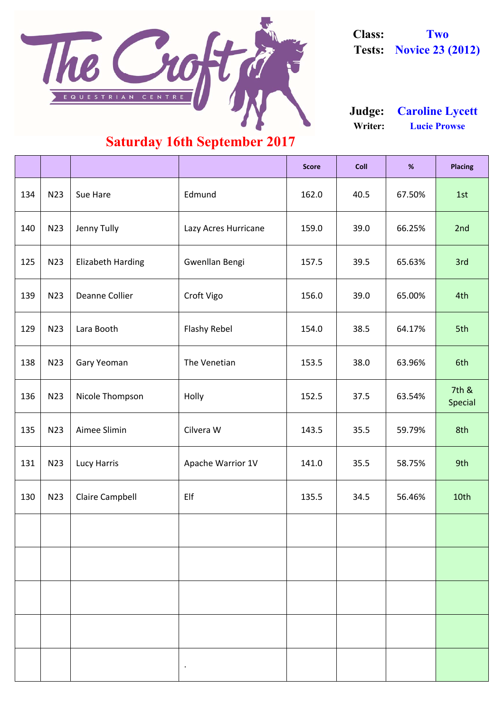|     |                 |                          |                      | <b>Score</b> | <b>Coll</b> | %      | <b>Placing</b>   |
|-----|-----------------|--------------------------|----------------------|--------------|-------------|--------|------------------|
| 134 | N23             | Sue Hare                 | Edmund               | 162.0        | 40.5        | 67.50% | 1st              |
| 140 | N23             | <b>Jenny Tully</b>       | Lazy Acres Hurricane | 159.0        | 39.0        | 66.25% | 2nd              |
| 125 | N23             | <b>Elizabeth Harding</b> | Gwenllan Bengi       | 157.5        | 39.5        | 65.63% | 3rd              |
| 139 | N23             | Deanne Collier           | Croft Vigo           | 156.0        | 39.0        | 65.00% | 4th              |
| 129 | N23             | Lara Booth               | <b>Flashy Rebel</b>  | 154.0        | 38.5        | 64.17% | 5th              |
| 138 | N23             | <b>Gary Yeoman</b>       | The Venetian         | 153.5        | 38.0        | 63.96% | 6th              |
| 136 | N <sub>23</sub> | Nicole Thompson          | Holly                | 152.5        | 37.5        | 63.54% | 7th &<br>Special |
| 135 | N23             | Aimee Slimin             | Cilvera W            | 143.5        | 35.5        | 59.79% | 8th              |
| 131 | N23             | Lucy Harris              | Apache Warrior 1V    | 141.0        | 35.5        | 58.75% | 9th              |
| 130 | N23             | <b>Claire Campbell</b>   | Elf                  | 135.5        | 34.5        | 56.46% | 10th             |
|     |                 |                          |                      |              |             |        |                  |

|  | $\bullet$ |  |  |
|--|-----------|--|--|



**Class: Two Tests: Novice 23 (2012)**

**Writer: Lucie Prowse Judge: Caroline Lycett**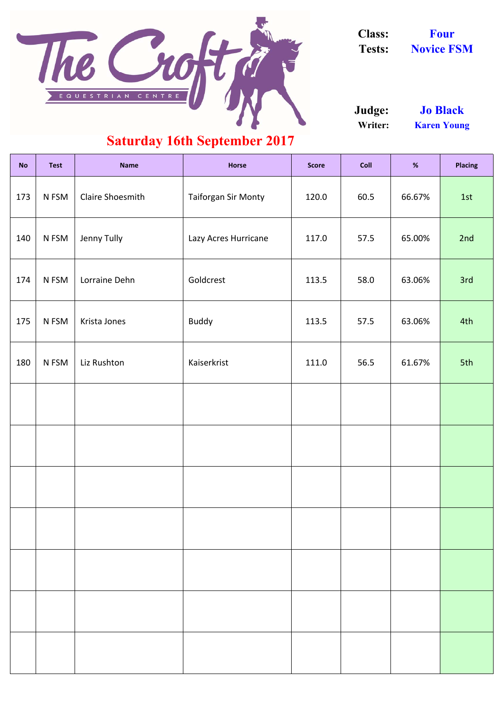| <b>No</b> | <b>Test</b> | <b>Name</b>             | <b>Horse</b>               | <b>Score</b> | <b>Coll</b> | $% \mathcal{B}_{\mathrm{C}}\left( \mathcal{B}_{\mathrm{C}}\right)$ | <b>Placing</b> |
|-----------|-------------|-------------------------|----------------------------|--------------|-------------|--------------------------------------------------------------------|----------------|
| 173       | N FSM       | <b>Claire Shoesmith</b> | <b>Taiforgan Sir Monty</b> | 120.0        | 60.5        | 66.67%                                                             | 1st            |
| 140       | N FSM       | Jenny Tully             | Lazy Acres Hurricane       | 117.0        | 57.5        | 65.00%                                                             | 2nd            |
| 174       | N FSM       | Lorraine Dehn           | Goldcrest                  | 113.5        | 58.0        | 63.06%                                                             | 3rd            |
| 175       | N FSM       | Krista Jones            | <b>Buddy</b>               | 113.5        | 57.5        | 63.06%                                                             | 4th            |
| 180       | N FSM       | Liz Rushton             | Kaiserkrist                | 111.0        | 56.5        | 61.67%                                                             | 5th            |
|           |             |                         |                            |              |             |                                                                    |                |
|           |             |                         |                            |              |             |                                                                    |                |
|           |             |                         |                            |              |             |                                                                    |                |
|           |             |                         |                            |              |             |                                                                    |                |



**Class: Four**

**Tests: Novice FSM**

**Writer: Karen Young Judge: Jo Black**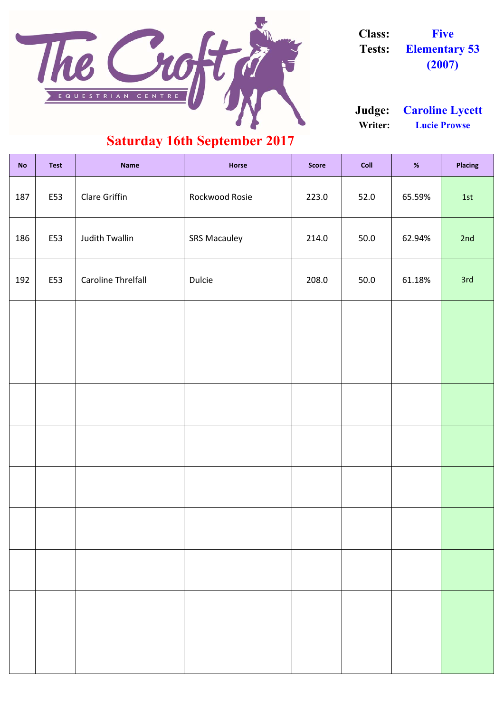| <b>No</b> | <b>Test</b> | <b>Name</b>           | <b>Horse</b>        | <b>Score</b> | Coll | %      | <b>Placing</b> |
|-----------|-------------|-----------------------|---------------------|--------------|------|--------|----------------|
| 187       | E53         | Clare Griffin         | Rockwood Rosie      | 223.0        | 52.0 | 65.59% | 1st            |
| 186       | E53         | <b>Judith Twallin</b> | <b>SRS Macauley</b> | 214.0        | 50.0 | 62.94% | 2nd            |
| 192       | E53         | Caroline Threlfall    | <b>Dulcie</b>       | 208.0        | 50.0 | 61.18% | 3rd            |
|           |             |                       |                     |              |      |        |                |
|           |             |                       |                     |              |      |        |                |
|           |             |                       |                     |              |      |        |                |
|           |             |                       |                     |              |      |        |                |
|           |             |                       |                     |              |      |        |                |
|           |             |                       |                     |              |      |        |                |



**Class: Five Tests: Elementary 53 (2007)**

**Writer: Lucie Prowse Judge: Caroline Lycett**